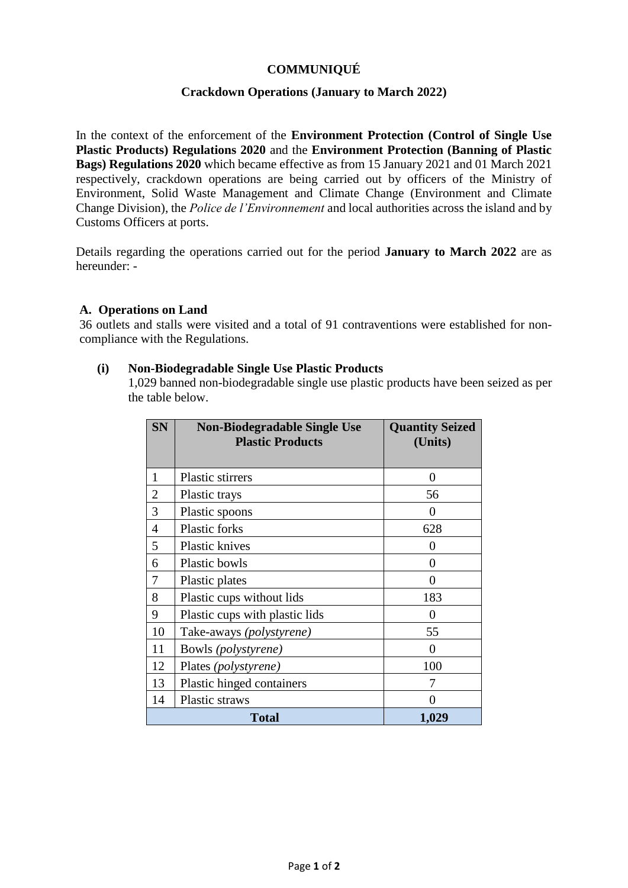# **COMMUNIQUÉ**

## **Crackdown Operations (January to March 2022)**

In the context of the enforcement of the **Environment Protection (Control of Single Use Plastic Products) Regulations 2020** and the **Environment Protection (Banning of Plastic Bags) Regulations 2020** which became effective as from 15 January 2021 and 01 March 2021 respectively, crackdown operations are being carried out by officers of the Ministry of Environment, Solid Waste Management and Climate Change (Environment and Climate Change Division), the *Police de l'Environnement* and local authorities across the island and by Customs Officers at ports.

Details regarding the operations carried out for the period **January to March 2022** are as hereunder: -

### **A. Operations on Land**

36 outlets and stalls were visited and a total of 91 contraventions were established for noncompliance with the Regulations.

#### **(i) Non-Biodegradable Single Use Plastic Products**

1,029 banned non-biodegradable single use plastic products have been seized as per the table below.

| <b>SN</b>      | <b>Non-Biodegradable Single Use</b><br><b>Plastic Products</b> | <b>Quantity Seized</b><br>(Units) |
|----------------|----------------------------------------------------------------|-----------------------------------|
|                |                                                                |                                   |
| 1              | Plastic stirrers                                               | 0                                 |
| $\overline{2}$ | Plastic trays                                                  | 56                                |
| 3              | Plastic spoons                                                 | 0                                 |
| 4              | Plastic forks                                                  | 628                               |
| 5              | <b>Plastic knives</b>                                          | 0                                 |
| 6              | Plastic bowls                                                  | 0                                 |
| 7              | Plastic plates                                                 | 0                                 |
| 8              | Plastic cups without lids                                      | 183                               |
| 9              | Plastic cups with plastic lids                                 | 0                                 |
| 10             | Take-aways (polystyrene)                                       | 55                                |
| 11             | Bowls (polystyrene)                                            | 0                                 |
| 12             | Plates (polystyrene)                                           | 100                               |
| 13             | Plastic hinged containers                                      | 7                                 |
| 14             | Plastic straws                                                 | 0                                 |
| Total          |                                                                | 1,029                             |